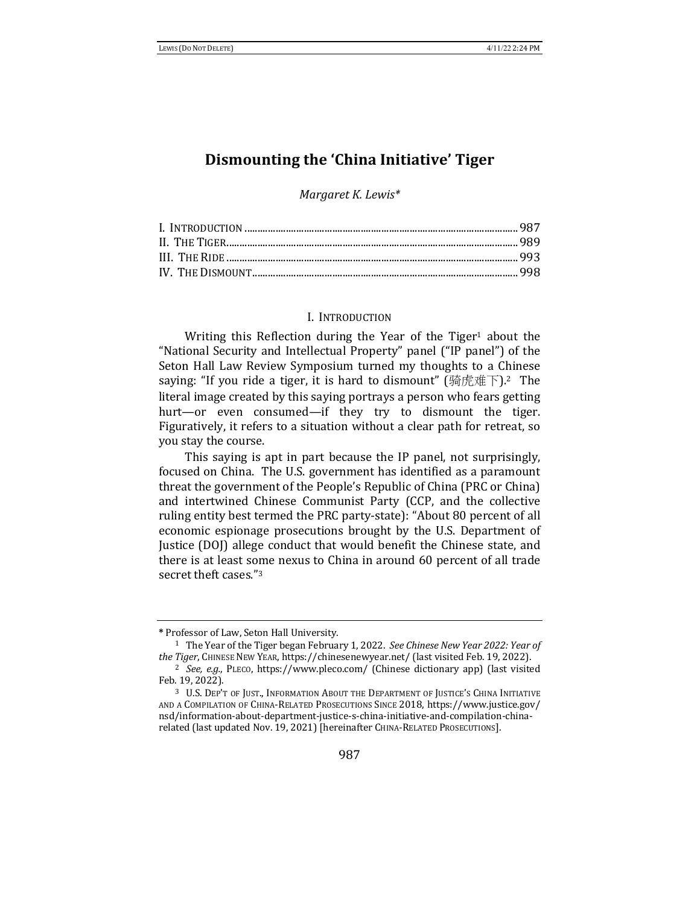# **Dismounting the 'China Initiative' Tiger**

*Margaret K. Lewis\**

## I. INTRODUCTION

Writing this Reflection during the Year of the Tiger<sup>1</sup> about the "National Security and Intellectual Property" panel ("IP panel") of the Seton Hall Law Review Symposium turned my thoughts to a Chinese saying: "If you ride a tiger, it is hard to dismount" (骑虎难下).<sup>2</sup> The literal image created by this saying portrays a person who fears getting hurt—or even consumed—if they try to dismount the tiger. Figuratively, it refers to a situation without a clear path for retreat, so you stay the course.

This saying is apt in part because the IP panel, not surprisingly, focused on China. The U.S. government has identified as a paramount threat the government of the People's Republic of China (PRC or China) and intertwined Chinese Communist Party (CCP, and the collective ruling entity best termed the PRC party-state): "About 80 percent of all economic espionage prosecutions brought by the U.S. Department of Justice (DOJ) allege conduct that would benefit the Chinese state, and there is at least some nexus to China in around 60 percent of all trade secret theft cases."3

**<sup>\*</sup>** Professor of Law, Seton Hall University.

<sup>&</sup>lt;sup>1</sup> The Year of the Tiger began February 1, 2022. *See Chinese New Year 2022: Year of the Tiger*, CHINESE NEW YEAR, https://chinesenewyear.net/ (last visited Feb. 19, 2022).

<sup>&</sup>lt;sup>2</sup> See, e.g., PLECO, https://www.pleco.com/ (Chinese dictionary app) (last visited Feb. 19, 2022).

<sup>&</sup>lt;sup>3</sup> U.S. DEP'T OF JUST., INFORMATION ABOUT THE DEPARTMENT OF JUSTICE'S CHINA INITIATIVE AND A COMPILATION OF CHINA-RELATED PROSECUTIONS SINCE 2018, https://www.justice.gov/ nsd/information-about-department-justice-s-china-initiative-and-compilation-chinarelated (last updated Nov. 19, 2021) [hereinafter CHINA-RELATED PROSECUTIONS].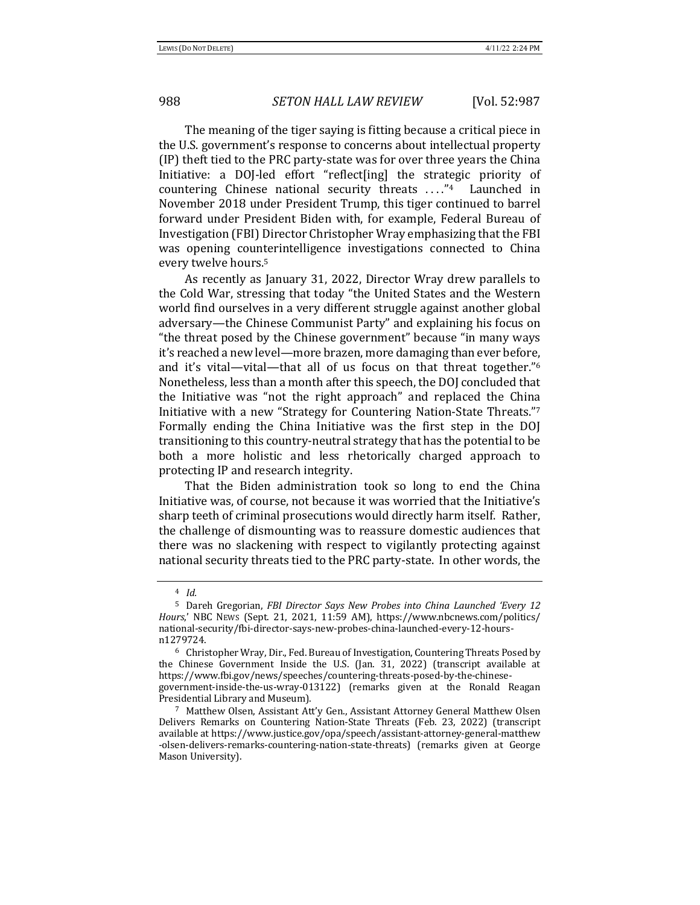The meaning of the tiger saying is fitting because a critical piece in the U.S. government's response to concerns about intellectual property (IP) theft tied to the PRC party-state was for over three years the China Initiative: a DOJ-led effort "reflect[ing] the strategic priority of countering Chinese national security threats  $\dots$ "<sup>4</sup> Launched in November 2018 under President Trump, this tiger continued to barrel forward under President Biden with, for example, Federal Bureau of Investigation (FBI) Director Christopher Wray emphasizing that the FBI was opening counterintelligence investigations connected to China every twelve hours.<sup>5</sup>

As recently as January 31, 2022, Director Wray drew parallels to the Cold War, stressing that today "the United States and the Western world find ourselves in a very different struggle against another global adversary—the Chinese Communist Party" and explaining his focus on "the threat posed by the Chinese government" because "in many ways it's reached a new level—more brazen, more damaging than ever before, and it's vital—vital—that all of us focus on that threat together."<sup>6</sup> Nonetheless, less than a month after this speech, the DOJ concluded that the Initiative was "not the right approach" and replaced the China Initiative with a new "Strategy for Countering Nation-State Threats."<sup>7</sup> Formally ending the China Initiative was the first step in the DOJ transitioning to this country-neutral strategy that has the potential to be both a more holistic and less rhetorically charged approach to protecting IP and research integrity.

That the Biden administration took so long to end the China Initiative was, of course, not because it was worried that the Initiative's sharp teeth of criminal prosecutions would directly harm itself. Rather, the challenge of dismounting was to reassure domestic audiences that there was no slackening with respect to vigilantly protecting against national security threats tied to the PRC party-state. In other words, the

<sup>4</sup> *Id.*

<sup>&</sup>lt;sup>5</sup> Dareh Gregorian, *FBI Director Says New Probes into China Launched 'Every 12 Hours*,' NBC News (Sept. 21, 2021, 11:59 AM), https://www.nbcnews.com/politics/ national-security/fbi-director-says-new-probes-china-launched-every-12-hoursn1279724.

 $6$  Christopher Wray, Dir., Fed. Bureau of Investigation, Countering Threats Posed by the Chinese Government Inside the U.S. (Jan.  $31$ , 2022) (transcript available at https://www.fbi.gov/news/speeches/countering-threats-posed-by-the-chinesegovernment-inside-the-us-wray-013122) (remarks given at the Ronald Reagan Presidential Library and Museum).

<sup>&</sup>lt;sup>7</sup> Matthew Olsen, Assistant Att'y Gen., Assistant Attorney General Matthew Olsen Delivers Remarks on Countering Nation-State Threats (Feb. 23, 2022) (transcript available at https://www.justice.gov/opa/speech/assistant-attorney-general-matthew -olsen-delivers-remarks-countering-nation-state-threats) (remarks given at George Mason University).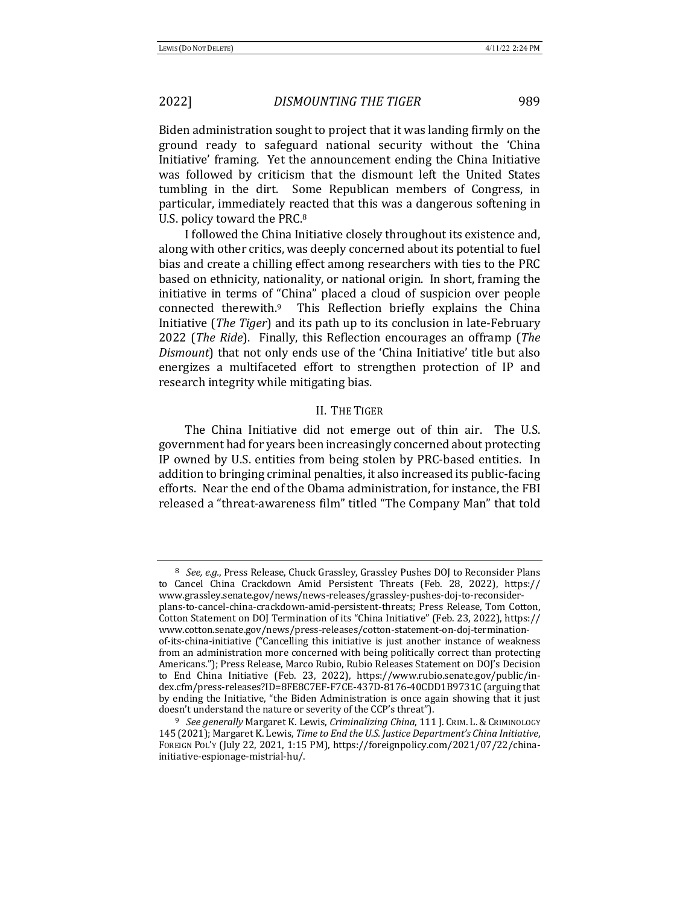Biden administration sought to project that it was landing firmly on the ground ready to safeguard national security without the 'China Initiative' framing. Yet the announcement ending the China Initiative was followed by criticism that the dismount left the United States tumbling in the dirt. Some Republican members of Congress, in particular, immediately reacted that this was a dangerous softening in U.S. policy toward the PRC.<sup>8</sup>

I followed the China Initiative closely throughout its existence and, along with other critics, was deeply concerned about its potential to fuel bias and create a chilling effect among researchers with ties to the PRC based on ethnicity, nationality, or national origin. In short, framing the initiative in terms of "China" placed a cloud of suspicion over people connected therewith.<sup>9</sup> This Reflection briefly explains the China Initiative (*The Tiger*) and its path up to its conclusion in late-February 2022 (*The Ride*). Finally, this Reflection encourages an offramp (*The Dismount*) that not only ends use of the 'China Initiative' title but also energizes a multifaceted effort to strengthen protection of IP and research integrity while mitigating bias.

## II. THE TIGER

The China Initiative did not emerge out of thin air. The U.S. government had for years been increasingly concerned about protecting IP owned by U.S. entities from being stolen by PRC-based entities. In addition to bringing criminal penalties, it also increased its public-facing efforts. Near the end of the Obama administration, for instance, the FBI released a "threat-awareness film" titled "The Company Man" that told

<sup>&</sup>lt;sup>8</sup> *See, e.g.*, Press Release, Chuck Grassley, Grassley Pushes DOJ to Reconsider Plans to Cancel China Crackdown Amid Persistent Threats (Feb. 28, 2022), https:// www.grassley.senate.gov/news/news-releases/grassley-pushes-doj-to-reconsiderplans-to-cancel-china-crackdown-amid-persistent-threats; Press Release, Tom Cotton, Cotton Statement on DOJ Termination of its "China Initiative" (Feb. 23, 2022), https:// www.cotton.senate.gov/news/press-releases/cotton-statement-on-doj-terminationof-its-china-initiative ("Cancelling this initiative is just another instance of weakness from an administration more concerned with being politically correct than protecting Americans."); Press Release, Marco Rubio, Rubio Releases Statement on DOJ's Decision to End China Initiative (Feb. 23, 2022), https://www.rubio.senate.gov/public/index.cfm/press-releases?ID=8FE8C7EF-F7CE-437D-8176-40CDD1B9731C (arguing that by ending the Initiative, "the Biden Administration is once again showing that it just doesn't understand the nature or severity of the CCP's threat").

<sup>&</sup>lt;sup>9</sup> See generally Margaret K. Lewis, *Criminalizing China*, 111 J. CRIM. L. & CRIMINOLOGY 145 (2021); Margaret K. Lewis, *Time to End the U.S. Justice Department's China Initiative*, FOREIGN POL'Y (July 22, 2021, 1:15 PM), https://foreignpolicy.com/2021/07/22/chinainitiative-espionage-mistrial-hu/.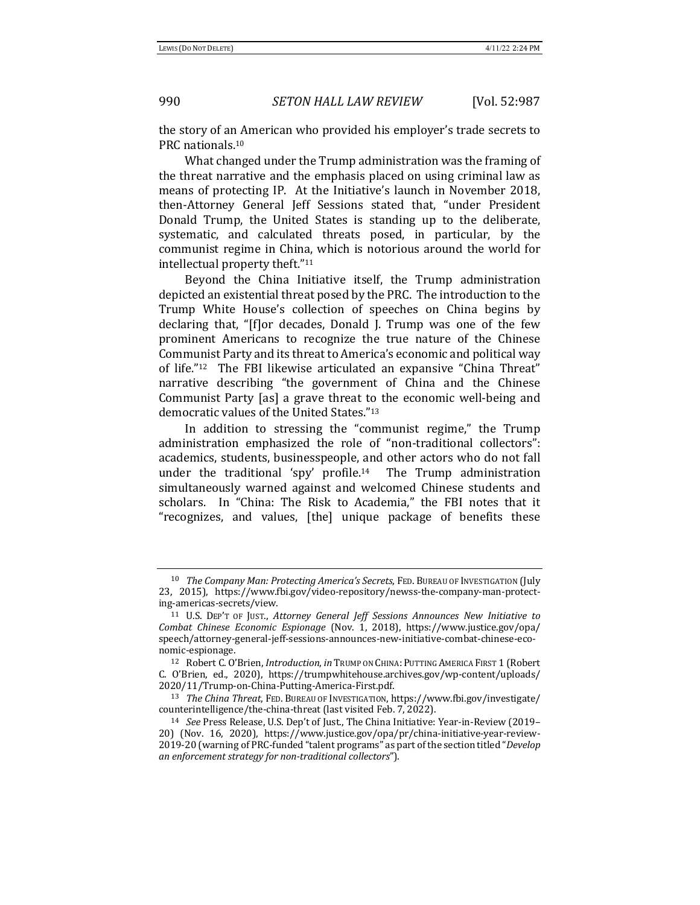the story of an American who provided his employer's trade secrets to PRC nationals.<sup>10</sup>

What changed under the Trump administration was the framing of the threat narrative and the emphasis placed on using criminal law as means of protecting IP. At the Initiative's launch in November 2018, then-Attorney General Jeff Sessions stated that, "under President Donald Trump, the United States is standing up to the deliberate, systematic, and calculated threats posed, in particular, by the communist regime in China, which is notorious around the world for intellectual property theft."<sup>11</sup>

Beyond the China Initiative itself, the Trump administration depicted an existential threat posed by the PRC. The introduction to the Trump White House's collection of speeches on China begins by declaring that, "[f]or decades, Donald J. Trump was one of the few prominent Americans to recognize the true nature of the Chinese Communist Party and its threat to America's economic and political way of life."<sup>12</sup> The FBI likewise articulated an expansive "China Threat" narrative describing "the government of China and the Chinese Communist Party [as] a grave threat to the economic well-being and democratic values of the United States."<sup>13</sup>

In addition to stressing the "communist regime," the  $T$ rump administration emphasized the role of "non-traditional collectors": academics, students, businesspeople, and other actors who do not fall under the traditional 'spy' profile.<sup>14</sup> The Trump administration simultaneously warned against and welcomed Chinese students and scholars. In "China: The Risk to Academia," the FBI notes that it "recognizes, and values, [the] unique package of benefits these 

<sup>&</sup>lt;sup>10</sup> *The Company Man: Protecting America's Secrets*, FED. BUREAU OF INVESTIGATION (July 23, 2015), https://www.fbi.gov/video-repository/newss-the-company-man-protecting-americas-secrets/view. 

<sup>&</sup>lt;sup>11</sup> U.S. DEP'T OF JUST., Attorney General Jeff Sessions Announces New Initiative to *Combat Chinese Economic Espionage* (Nov. 1, 2018), https://www.justice.gov/opa/ speech/attorney-general-jeff-sessions-announces-new-initiative-combat-chinese-economic-espionage. 

<sup>12</sup> Robert C. O'Brien, *Introduction*, in TRUMP ON CHINA: PUTTING AMERICA FIRST 1 (Robert C. O'Brien, ed., 2020), https://trumpwhitehouse.archives.gov/wp-content/uploads/ 2020/11/Trump-on-China-Putting-America-First.pdf. 

<sup>&</sup>lt;sup>13</sup> *The China Threat*, FED. BUREAU OF INVESTIGATION, https://www.fbi.gov/investigate/ counterintelligence/the-china-threat (last visited Feb. 7, 2022).

<sup>&</sup>lt;sup>14</sup> See Press Release, U.S. Dep't of Just., The China Initiative: Year-in-Review (2019– 20) (Nov. 16, 2020), https://www.justice.gov/opa/pr/china-initiative-year-review-2019-20 (warning of PRC-funded "talent programs" as part of the section titled "*Develop an enforcement strategy for non-traditional collectors"*).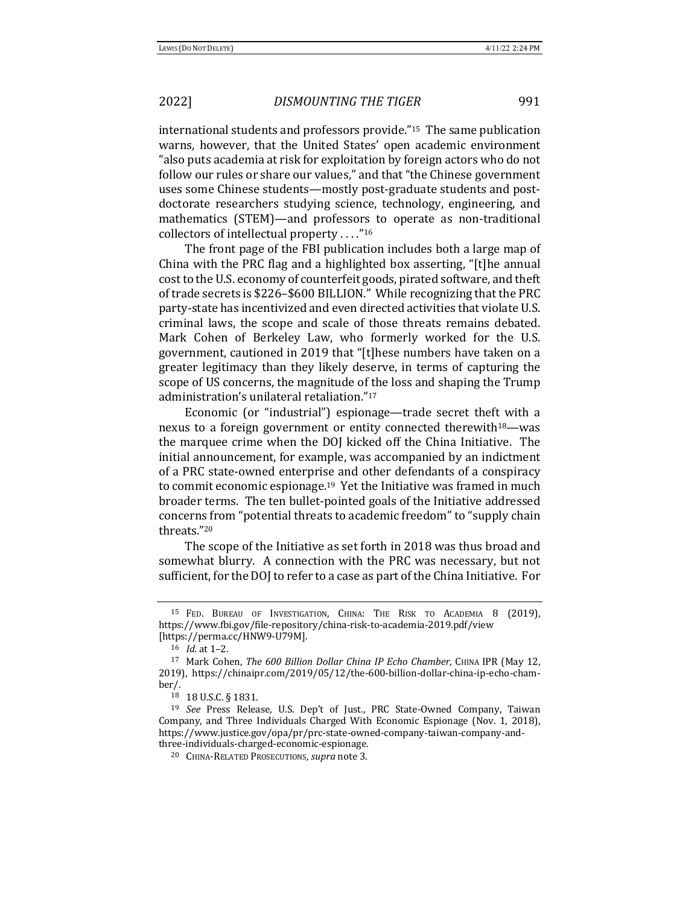international students and professors provide."<sup>15</sup> The same publication warns, however, that the United States' open academic environment "also puts academia at risk for exploitation by foreign actors who do not follow our rules or share our values," and that "the Chinese government uses some Chinese students—mostly post-graduate students and postdoctorate researchers studying science, technology, engineering, and mathematics (STEM)—and professors to operate as non-traditional collectors of intellectual property  $\dots$ ."<sup>16</sup>

The front page of the FBI publication includes both a large map of China with the PRC flag and a highlighted box asserting, "[t]he annual cost to the U.S. economy of counterfeit goods, pirated software, and theft of trade secrets is \$226–\$600 BILLION." While recognizing that the PRC party-state has incentivized and even directed activities that violate U.S. criminal laws, the scope and scale of those threats remains debated. Mark Cohen of Berkeley Law, who formerly worked for the U.S. government, cautioned in 2019 that "[t]hese numbers have taken on a greater legitimacy than they likely deserve, in terms of capturing the scope of US concerns, the magnitude of the loss and shaping the Trump administration's unilateral retaliation."<sup>17</sup>

Economic (or "industrial") espionage—trade secret theft with a nexus to a foreign government or entity connected therewith<sup>18</sup>—was the marquee crime when the DOJ kicked off the China Initiative. The initial announcement, for example, was accompanied by an indictment of a PRC state-owned enterprise and other defendants of a conspiracy to commit economic espionage.<sup>19</sup> Yet the Initiative was framed in much broader terms. The ten bullet-pointed goals of the Initiative addressed concerns from "potential threats to academic freedom" to "supply chain threats."20

The scope of the Initiative as set forth in 2018 was thus broad and somewhat blurry. A connection with the PRC was necessary, but not sufficient, for the DOJ to refer to a case as part of the China Initiative. For

<sup>&</sup>lt;sup>15</sup> Fed. Bureau of Investigation, China: The Risk to Academia 8 (2019), https://www.fbi.gov/file-repository/china-risk-to-academia-2019.pdf/view [https://perma.cc/HNW9-U79M].

<sup>16</sup> *Id.* at 1-2.

<sup>&</sup>lt;sup>17</sup> Mark Cohen, *The 600 Billion Dollar China IP Echo Chamber*, CHINA IPR (May 12, 2019), https://chinaipr.com/2019/05/12/the-600-billion-dollar-china-ip-echo-chamber/.

<sup>18 18</sup> U.S.C. § 1831.

<sup>&</sup>lt;sup>19</sup> *See* Press Release, U.S. Dep't of Just., PRC State-Owned Company, Taiwan Company, and Three Individuals Charged With Economic Espionage (Nov. 1, 2018), https://www.justice.gov/opa/pr/prc-state-owned-company-taiwan-company-andthree-individuals-charged-economic-espionage. 

<sup>&</sup>lt;sup>20</sup> CHINA-RELATED PROSECUTIONS, supra note 3.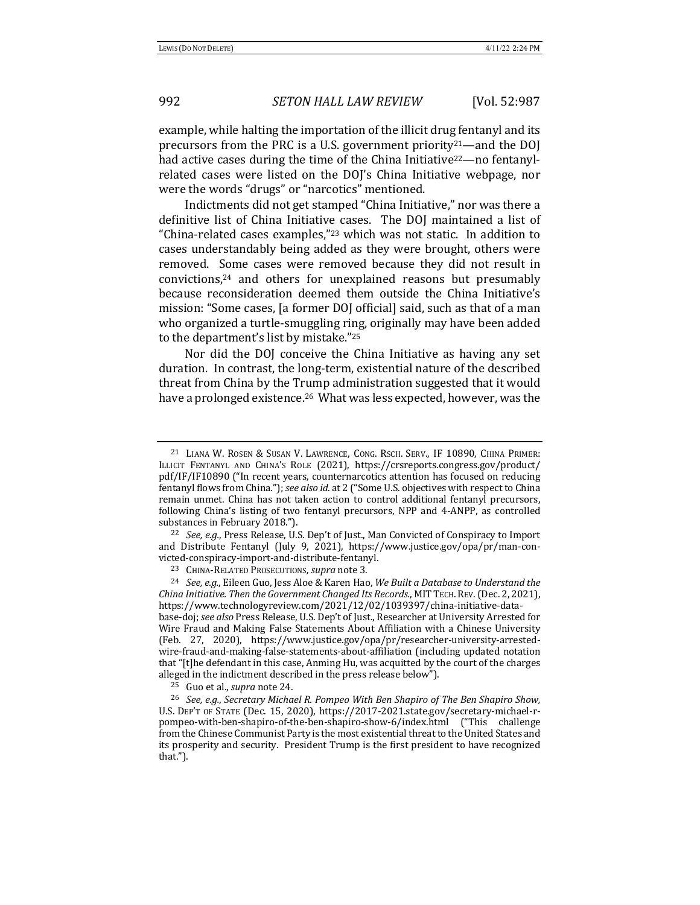example, while halting the importation of the illicit drug fentanyl and its precursors from the PRC is a U.S. government priority<sup>21</sup>—and the DOJ had active cases during the time of the China Initiative<sup>22</sup>—no fentanylrelated cases were listed on the DOJ's China Initiative webpage, nor were the words "drugs" or "narcotics" mentioned.

Indictments did not get stamped "China Initiative," nor was there a definitive list of China Initiative cases. The DOJ maintained a list of "China-related cases examples, $"^{23}$  which was not static. In addition to cases understandably being added as they were brought, others were removed. Some cases were removed because they did not result in convictions,<sup>24</sup> and others for unexplained reasons but presumably because reconsideration deemed them outside the China Initiative's mission: "Some cases, [a former DOJ official] said, such as that of a man who organized a turtle-smuggling ring, originally may have been added to the department's list by mistake."25

Nor did the DOJ conceive the China Initiative as having any set duration. In contrast, the long-term, existential nature of the described threat from China by the Trump administration suggested that it would have a prolonged existence.<sup>26</sup> What was less expected, however, was the

<sup>&</sup>lt;sup>21</sup> LIANA W. ROSEN & SUSAN V. LAWRENCE, CONG. RSCH. SERV., IF 10890, CHINA PRIMER: ILLICIT FENTANYL AND CHINA'S ROLE (2021), https://crsreports.congress.gov/product/ pdf/IF/IF10890 ("In recent years, counternarcotics attention has focused on reducing fentanyl flows from China."); see also *id.* at 2 ("Some U.S. objectives with respect to China remain unmet. China has not taken action to control additional fentanyl precursors, following China's listing of two fentanyl precursors, NPP and 4-ANPP, as controlled substances in February 2018.").

<sup>&</sup>lt;sup>22</sup> *See, e.g.*, Press Release, U.S. Dep't of Just., Man Convicted of Conspiracy to Import and Distribute Fentanyl (July 9, 2021), https://www.justice.gov/opa/pr/man-convicted-conspiracy-import-and-distribute-fentanyl. 

<sup>&</sup>lt;sup>23</sup> CHINA-RELATED PROSECUTIONS, supra note 3.

<sup>&</sup>lt;sup>24</sup> *See, e.g.*, Eileen Guo, Jess Aloe & Karen Hao, We Built a Database to Understand the *China Initiative. Then the Government Changed Its Records.,* MIT TECH. REV. (Dec. 2, 2021), https://www.technologyreview.com/2021/12/02/1039397/china-initiative-database-doj; see also Press Release, U.S. Dep't of Just., Researcher at University Arrested for Wire Fraud and Making False Statements About Affiliation with a Chinese University (Feb. 27, 2020), https://www.justice.gov/opa/pr/researcher-university-arrestedwire-fraud-and-making-false-statements-about-affiliation (including updated notation that "[t]he defendant in this case, Anming Hu, was acquitted by the court of the charges alleged in the indictment described in the press release below").

<sup>&</sup>lt;sup>25</sup> Guo et al., *supra* note 24.

<sup>&</sup>lt;sup>26</sup> See, e.g., Secretary Michael R. Pompeo With Ben Shapiro of The Ben Shapiro Show, U.S. DEP'T OF STATE (Dec. 15, 2020), https://2017-2021.state.gov/secretary-michael-rpompeo-with-ben-shapiro-of-the-ben-shapiro-show-6/index.html ("This challenge from the Chinese Communist Party is the most existential threat to the United States and its prosperity and security. President Trump is the first president to have recognized that.").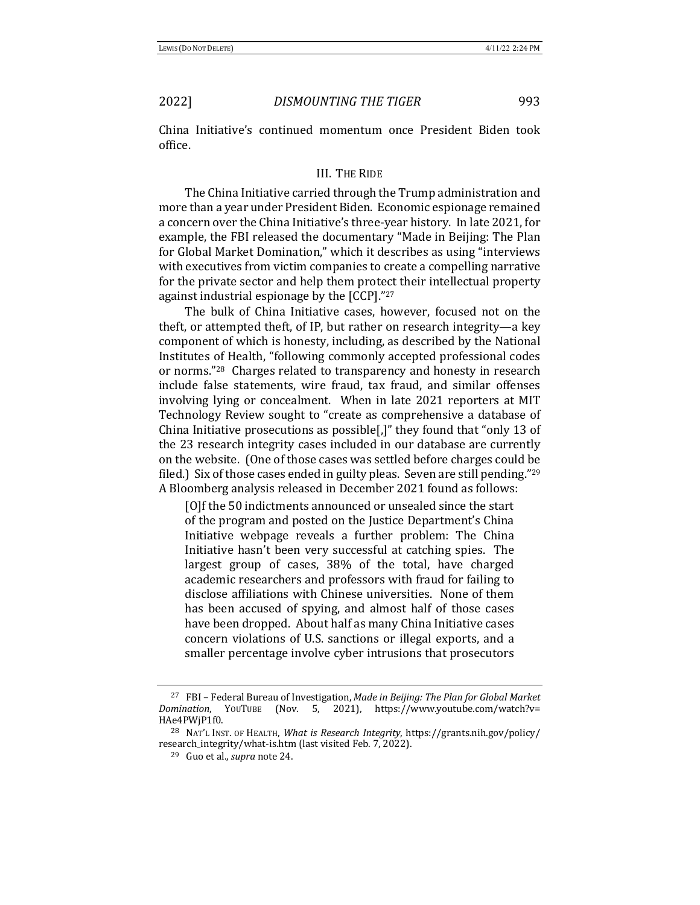China Initiative's continued momentum once President Biden took office. 

## III. THE RIDE

The China Initiative carried through the Trump administration and more than a year under President Biden. Economic espionage remained a concern over the China Initiative's three-year history. In late 2021, for example, the FBI released the documentary "Made in Beijing: The Plan for Global Market Domination," which it describes as using "interviews with executives from victim companies to create a compelling narrative for the private sector and help them protect their intellectual property against industrial espionage by the  $[CCP]$ ."27

The bulk of China Initiative cases, however, focused not on the theft, or attempted theft, of IP, but rather on research integrity-a key component of which is honesty, including, as described by the National Institutes of Health, "following commonly accepted professional codes or norms."<sup>28</sup> Charges related to transparency and honesty in research include false statements, wire fraud, tax fraud, and similar offenses involving lying or concealment. When in late 2021 reporters at MIT Technology Review sought to "create as comprehensive a database of China Initiative prosecutions as possible[,]" they found that "only 13 of the 23 research integrity cases included in our database are currently on the website. (One of those cases was settled before charges could be filed.) Six of those cases ended in guilty pleas. Seven are still pending." $29$ A Bloomberg analysis released in December 2021 found as follows:

[O]f the 50 indictments announced or unsealed since the start of the program and posted on the Justice Department's China Initiative webpage reveals a further problem: The China Initiative hasn't been very successful at catching spies. The largest group of cases, 38% of the total, have charged academic researchers and professors with fraud for failing to disclose affiliations with Chinese universities. None of them has been accused of spying, and almost half of those cases have been dropped. About half as many China Initiative cases concern violations of U.S. sanctions or illegal exports, and a smaller percentage involve cyber intrusions that prosecutors

<sup>&</sup>lt;sup>27</sup> FBI - Federal Bureau of Investigation, *Made in Beijing: The Plan for Global Market Domination*, YOUTUBE (Nov. 5, 2021), https://www.youtube.com/watch?v= HAe4PWjP1f0.

<sup>&</sup>lt;sup>28</sup> NAT'L INST. OF HEALTH, *What is Research Integrity*, https://grants.nih.gov/policy/ research\_integrity/what-is.htm (last visited Feb. 7, 2022).

<sup>&</sup>lt;sup>29</sup> Guo et al., *supra* note 24.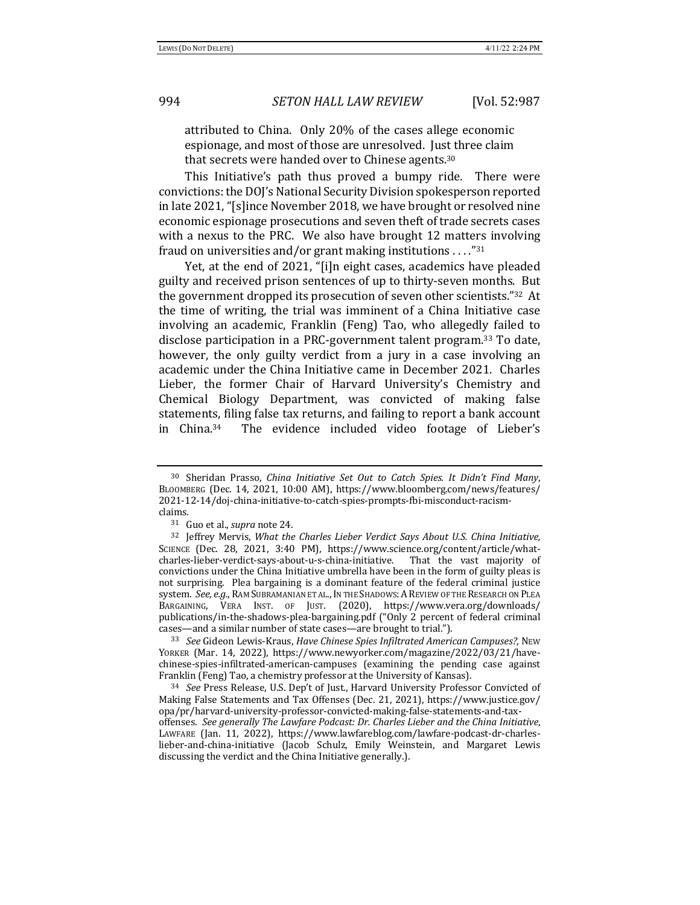attributed to China. Only 20% of the cases allege economic espionage, and most of those are unresolved. Just three claim that secrets were handed over to Chinese agents. $30$ 

This Initiative's path thus proved a bumpy ride. There were convictions: the DOJ's National Security Division spokesperson reported in late 2021, "[s]ince November 2018, we have brought or resolved nine economic espionage prosecutions and seven theft of trade secrets cases with a nexus to the PRC. We also have brought 12 matters involving fraud on universities and/or grant making institutions ...."<sup>31</sup>

Yet, at the end of 2021, "[i]n eight cases, academics have pleaded guilty and received prison sentences of up to thirty-seven months. But the government dropped its prosecution of seven other scientists."32 At the time of writing, the trial was imminent of a China Initiative case involving an academic, Franklin (Feng) Tao, who allegedly failed to disclose participation in a PRC-government talent program.<sup>33</sup> To date, however, the only guilty verdict from a jury in a case involving an academic under the China Initiative came in December 2021. Charles Lieber, the former Chair of Harvard University's Chemistry and Chemical Biology Department, was convicted of making false statements, filing false tax returns, and failing to report a bank account in China.<sup>34</sup> The evidence included video footage of Lieber's

33 *See* Gideon Lewis-Kraus, *Have Chinese Spies Infiltrated American Campuses?*, New YORKER (Mar. 14, 2022), https://www.newyorker.com/magazine/2022/03/21/havechinese-spies-infiltrated-american-campuses (examining the pending case against Franklin (Feng) Tao, a chemistry professor at the University of Kansas).

<sup>&</sup>lt;sup>30</sup> Sheridan Prasso, *China Initiative Set Out to Catch Spies. It Didn't Find Many*, BLOOMBERG (Dec. 14, 2021, 10:00 AM), https://www.bloomberg.com/news/features/ 2021-12-14/doj-china-initiative-to-catch-spies-prompts-fbi-misconduct-racismclaims.

<sup>&</sup>lt;sup>31</sup> Guo et al., *supra* note 24.

<sup>&</sup>lt;sup>32</sup> Jeffrey Mervis, *What the Charles Lieber Verdict Says About U.S. China Initiative,* SCIENCE (Dec. 28, 2021, 3:40 PM), https://www.science.org/content/article/whatcharles-lieber-verdict-says-about-u-s-china-initiative. That the vast majority of convictions under the China Initiative umbrella have been in the form of guilty pleas is not surprising. Plea bargaining is a dominant feature of the federal criminal justice system. See, e.g., RAM SUBRAMANIAN ET AL., IN THE SHADOWS: A REVIEW OF THE RESEARCH ON PLEA BARGAINING, VERA INST. OF JUST. (2020), https://www.vera.org/downloads/ publications/in-the-shadows-plea-bargaining.pdf ("Only 2 percent of federal criminal cases—and a similar number of state cases—are brought to trial.").

<sup>&</sup>lt;sup>34</sup> See Press Release, U.S. Dep't of Just., Harvard University Professor Convicted of Making False Statements and Tax Offenses (Dec. 21, 2021), https://www.justice.gov/ opa/pr/harvard-university-professor-convicted-making-false-statements-and-taxoffenses. *See generally The Lawfare Podcast: Dr. Charles Lieber and the China Initiative*, LAWFARE (Jan. 11, 2022), https://www.lawfareblog.com/lawfare-podcast-dr-charleslieber-and-china-initiative (Jacob Schulz, Emily Weinstein, and Margaret Lewis discussing the verdict and the China Initiative generally.).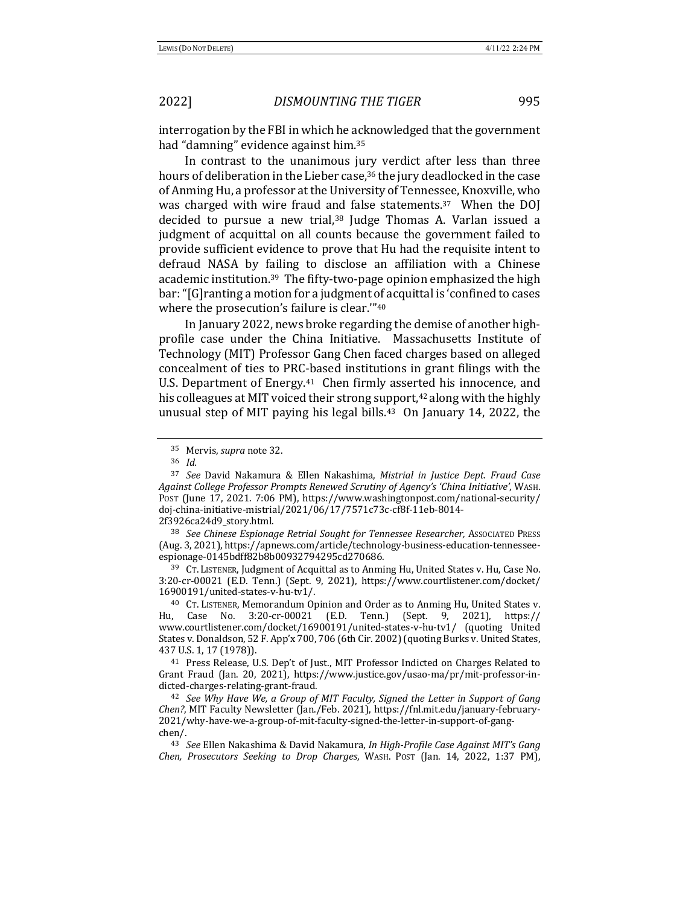interrogation by the FBI in which he acknowledged that the government had "damning" evidence against him.<sup>35</sup>

In contrast to the unanimous jury verdict after less than three hours of deliberation in the Lieber case,<sup>36</sup> the jury deadlocked in the case of Anming Hu, a professor at the University of Tennessee, Knoxville, who was charged with wire fraud and false statements.<sup>37</sup> When the DOJ decided to pursue a new trial,<sup>38</sup> Judge Thomas A. Varlan issued a judgment of acquittal on all counts because the government failed to provide sufficient evidence to prove that Hu had the requisite intent to defraud NASA by failing to disclose an affiliation with a Chinese academic institution.<sup>39</sup> The fifty-two-page opinion emphasized the high bar: "[G] ranting a motion for a judgment of acquittal is 'confined to cases where the prosecution's failure is clear."<sup>40</sup>

In January 2022, news broke regarding the demise of another highprofile case under the China Initiative. Massachusetts Institute of Technology (MIT) Professor Gang Chen faced charges based on alleged concealment of ties to PRC-based institutions in grant filings with the U.S. Department of Energy.<sup>41</sup> Chen firmly asserted his innocence, and his colleagues at MIT voiced their strong support, $42$  along with the highly unusual step of MIT paying his legal bills.<sup>43</sup> On January 14, 2022, the

<sup>38</sup> See Chinese Espionage Retrial Sought for Tennessee Researcher, Associated Press (Aug. 3, 2021), https://apnews.com/article/technology-business-education-tennesseeespionage-0145bdff82b8b00932794295cd270686. 

<sup>39</sup> CT. LISTENER, Judgment of Acquittal as to Anming Hu, United States v. Hu, Case No. 3:20-cr-00021 (E.D. Tenn.) (Sept. 9, 2021), https://www.courtlistener.com/docket/ 16900191/united-states-v-hu-tv1/. 

<sup>40</sup> CT. LISTENER, Memorandum Opinion and Order as to Anming Hu, United States v. Hu, Case No. 3:20-cr-00021 (E.D. Tenn.) (Sept. 9, 2021), https:// www.courtlistener.com/docket/16900191/united-states-v-hu-tv1/ (quoting United States v. Donaldson, 52 F. App'x 700, 706 (6th Cir. 2002) (quoting Burks v. United States, 437 U.S. 1, 17 (1978)).

<sup>41</sup> Press Release, U.S. Dep't of Just., MIT Professor Indicted on Charges Related to Grant Fraud (Jan. 20, 2021), https://www.justice.gov/usao-ma/pr/mit-professor-indicted-charges-relating-grant-fraud. 

<sup>42</sup> See Why Have We, a Group of MIT Faculty, Signed the Letter in Support of Gang *Chen?*, MIT Faculty Newsletter (Jan./Feb. 2021), https://fnl.mit.edu/january-february-2021/why-have-we-a-group-of-mit-faculty-signed-the-letter-in-support-of-gangchen/. 

<sup>43</sup> See Ellen Nakashima & David Nakamura, *In High-Profile Case Against MIT's Gang Chen, Prosecutors Seeking to Drop Charges, WASH. POST (Jan. 14, 2022, 1:37 PM),* 

<sup>&</sup>lt;sup>35</sup> Mervis, *supra* note 32.

<sup>36</sup> *Id.*

<sup>&</sup>lt;sup>37</sup> See David Nakamura & Ellen Nakashima, *Mistrial in Justice Dept. Fraud Case Against College Professor Prompts Renewed Scrutiny of Agency's 'China Initiative'*, WASH. Post (June 17, 2021. 7:06 PM), https://www.washingtonpost.com/national-security/ doj-china-initiative-mistrial/2021/06/17/7571c73c-cf8f-11eb-8014- 2f3926ca24d9\_story.html.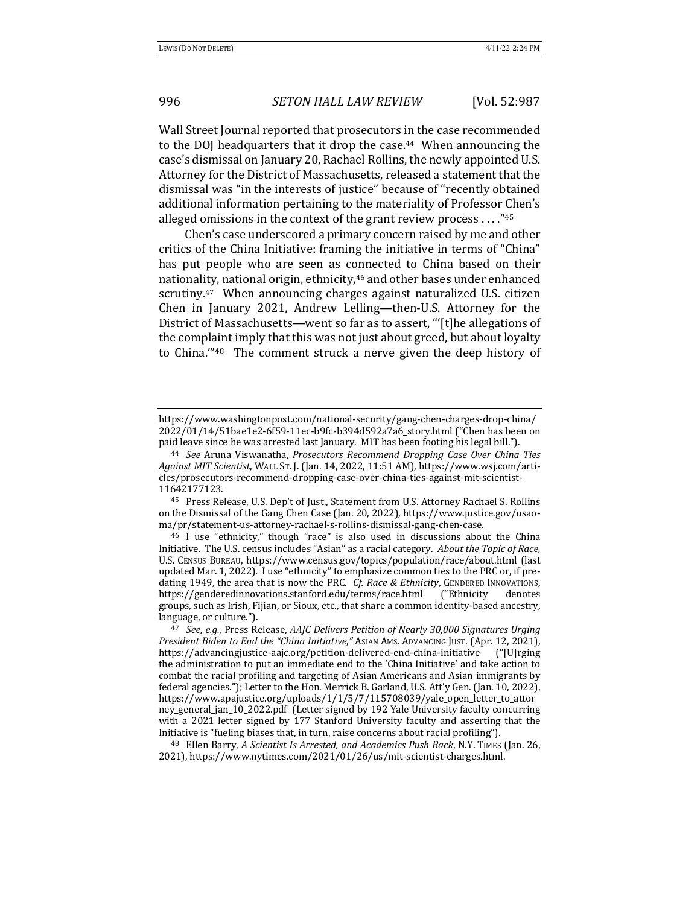Wall Street Journal reported that prosecutors in the case recommended to the DOJ headquarters that it drop the case.<sup>44</sup> When announcing the case's dismissal on January 20, Rachael Rollins, the newly appointed U.S. Attorney for the District of Massachusetts, released a statement that the dismissal was "in the interests of justice" because of "recently obtained additional information pertaining to the materiality of Professor Chen's alleged omissions in the context of the grant review process ...." $45$ 

Chen's case underscored a primary concern raised by me and other critics of the China Initiative: framing the initiative in terms of "China" has put people who are seen as connected to China based on their nationality, national origin, ethnicity,<sup>46</sup> and other bases under enhanced scrutiny.<sup>47</sup> When announcing charges against naturalized U.S. citizen Chen in January 2021, Andrew Lelling—then-U.S. Attorney for the District of Massachusetts—went so far as to assert, "[t]he allegations of the complaint imply that this was not just about greed, but about loyalty to China. $148$  The comment struck a nerve given the deep history of

<sup>45</sup> Press Release, U.S. Dep't of Just., Statement from U.S. Attorney Rachael S. Rollins on the Dismissal of the Gang Chen Case (Jan. 20, 2022), https://www.justice.gov/usaoma/pr/statement-us-attorney-rachael-s-rollins-dismissal-gang-chen-case. 

<sup>48</sup> Ellen Barry, *A Scientist Is Arrested, and Academics Push Back*, N.Y. TIMES (Jan. 26, 2021), https://www.nytimes.com/2021/01/26/us/mit-scientist-charges.html. 

https://www.washingtonpost.com/national-security/gang-chen-charges-drop-china/ 2022/01/14/51bae1e2-6f59-11ec-b9fc-b394d592a7a6\_story.html ("Chen has been on paid leave since he was arrested last January. MIT has been footing his legal bill.").

<sup>&</sup>lt;sup>44</sup> See Aruna Viswanatha, *Prosecutors Recommend Dropping Case Over China Ties Against MIT Scientist*, WALL ST. J. (Jan. 14, 2022, 11:51 AM), https://www.wsj.com/articles/prosecutors-recommend-dropping-case-over-china-ties-against-mit-scientist-11642177123. 

<sup>&</sup>lt;sup>46</sup> I use "ethnicity," though "race" is also used in discussions about the China Initiative. The U.S. census includes "Asian" as a racial category. About the Topic of Race, U.S. CENSUS BUREAU, https://www.census.gov/topics/population/race/about.html (last updated Mar. 1, 2022). I use "ethnicity" to emphasize common ties to the PRC or, if predating 1949, the area that is now the PRC. *Cf. Race & Ethnicity*, GENDERED INNOVATIONS, https://genderedinnovations.stanford.edu/terms/race.html ("Ethnicity denotes groups, such as Irish, Fijian, or Sioux, etc., that share a common identity-based ancestry, language, or culture.").

<sup>&</sup>lt;sup>47</sup> See, e.g., Press Release, *AAJC Delivers Petition of Nearly 30,000 Signatures Urging President Biden to End the "China Initiative,"* ASIAN AMS. ADVANCING JUST. (Apr. 12, 2021), https://advancingjustice-aajc.org/petition-delivered-end-china-initiative ("[U]rging the administration to put an immediate end to the 'China Initiative' and take action to combat the racial profiling and targeting of Asian Americans and Asian immigrants by federal agencies."); Letter to the Hon. Merrick B. Garland, U.S. Att'y Gen. (Jan. 10, 2022), https://www.apajustice.org/uploads/1/1/5/7/115708039/yale\_open\_letter\_to\_attor ney\_general\_jan\_10\_2022.pdf (Letter signed by 192 Yale University faculty concurring with a 2021 letter signed by 177 Stanford University faculty and asserting that the Initiative is "fueling biases that, in turn, raise concerns about racial profiling").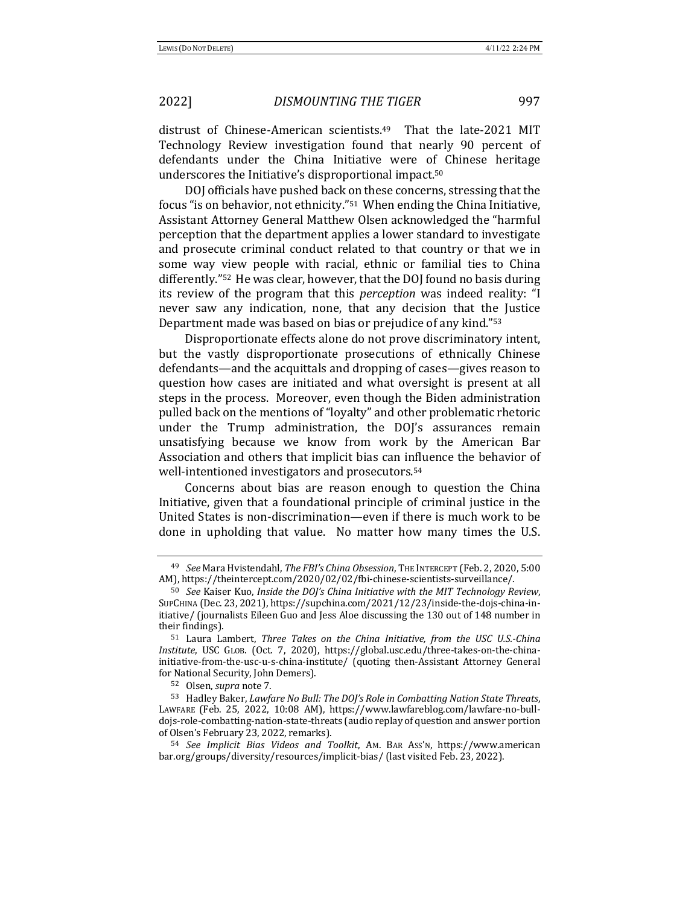distrust of Chinese-American scientists.<sup>49</sup> That the late-2021 MIT Technology Review investigation found that nearly 90 percent of defendants under the China Initiative were of Chinese heritage underscores the Initiative's disproportional impact.<sup>50</sup>

DOJ officials have pushed back on these concerns, stressing that the focus "is on behavior, not ethnicity."<sup>51</sup> When ending the China Initiative, Assistant Attorney General Matthew Olsen acknowledged the "harmful perception that the department applies a lower standard to investigate and prosecute criminal conduct related to that country or that we in some way view people with racial, ethnic or familial ties to China differently."<sup>52</sup> He was clear, however, that the DOJ found no basis during its review of the program that this *perception* was indeed reality: "I never saw any indication, none, that any decision that the Justice Department made was based on bias or prejudice of any kind."53

Disproportionate effects alone do not prove discriminatory intent, but the vastly disproportionate prosecutions of ethnically Chinese defendants—and the acquittals and dropping of cases—gives reason to question how cases are initiated and what oversight is present at all steps in the process. Moreover, even though the Biden administration pulled back on the mentions of "loyalty" and other problematic rhetoric under the Trump administration, the DOJ's assurances remain unsatisfying because we know from work by the American Bar Association and others that implicit bias can influence the behavior of well-intentioned investigators and prosecutors.<sup>54</sup>

Concerns about bias are reason enough to question the China Initiative, given that a foundational principle of criminal justice in the United States is non-discrimination—even if there is much work to be done in upholding that value. No matter how many times the U.S.

<sup>49</sup> *See* Mara Hvistendahl, *The FBI's China Obsession*, THE INTERCEPT (Feb. 2, 2020, 5:00 AM), https://theintercept.com/2020/02/02/fbi-chinese-scientists-surveillance/.

<sup>50</sup> *See* Kaiser Kuo, *Inside the DOJ's China Initiative with the MIT Technology Review,* SUPCHINA (Dec. 23, 2021), https://supchina.com/2021/12/23/inside-the-dojs-china-initiative/ (journalists Eileen Guo and Jess Aloe discussing the 130 out of 148 number in their findings).

<sup>&</sup>lt;sup>51</sup> Laura Lambert, *Three Takes on the China Initiative, from the USC U.S.-China Institute*, USC GLOB. (Oct. 7, 2020), https://global.usc.edu/three-takes-on-the-chinainitiative-from-the-usc-u-s-china-institute/ (quoting then-Assistant Attorney General for National Security, John Demers).

<sup>52</sup> Olsen, *supra* note 7.

<sup>53</sup> Hadley Baker, *Lawfare No Bull: The DOJ's Role in Combatting Nation State Threats*, LAWFARE (Feb. 25, 2022, 10:08 AM), https://www.lawfareblog.com/lawfare-no-bulldojs-role-combatting-nation-state-threats (audio replay of question and answer portion of Olsen's February 23, 2022, remarks).

<sup>54</sup> *See Implicit Bias Videos and Toolkit*, AM. BAR ASS'N, https://www.american bar.org/groups/diversity/resources/implicit-bias/ (last visited Feb. 23, 2022).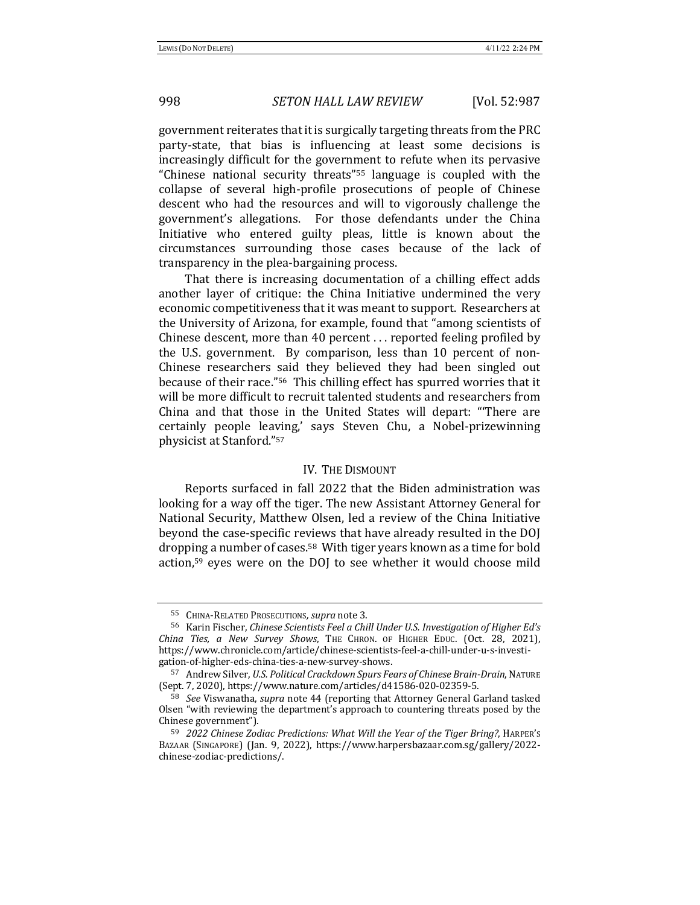government reiterates that it is surgically targeting threats from the PRC party-state, that bias is influencing at least some decisions is increasingly difficult for the government to refute when its pervasive "Chinese national security threats"<sup>55</sup> language is coupled with the collapse of several high-profile prosecutions of people of Chinese descent who had the resources and will to vigorously challenge the government's allegations. For those defendants under the China Initiative who entered guilty pleas, little is known about the circumstances surrounding those cases because of the lack of transparency in the plea-bargaining process.

That there is increasing documentation of a chilling effect adds another layer of critique: the China Initiative undermined the very economic competitiveness that it was meant to support. Researchers at the University of Arizona, for example, found that "among scientists of Chinese descent, more than 40 percent  $\dots$  reported feeling profiled by the U.S. government. By comparison, less than 10 percent of non-Chinese researchers said they believed they had been singled out because of their race."<sup>56</sup> This chilling effect has spurred worries that it will be more difficult to recruit talented students and researchers from China and that those in the United States will depart: "There are certainly people leaving,' says Steven Chu, a Nobel-prizewinning physicist at Stanford."<sup>57</sup>

## IV. THE DISMOUNT

Reports surfaced in fall 2022 that the Biden administration was looking for a way off the tiger. The new Assistant Attorney General for National Security, Matthew Olsen, led a review of the China Initiative beyond the case-specific reviews that have already resulted in the DOJ dropping a number of cases.<sup>58</sup> With tiger years known as a time for bold action, $59$  eyes were on the DOJ to see whether it would choose mild

<sup>55</sup> CHINA-RELATED PROSECUTIONS, *supra* note 3.

<sup>56</sup> Karin Fischer, *Chinese Scientists Feel a Chill Under U.S. Investigation of Higher Ed's China Ties, a New Survey Shows*, THE CHRON. OF HIGHER EDUC. (Oct. 28, 2021), https://www.chronicle.com/article/chinese-scientists-feel-a-chill-under-u-s-investigation-of-higher-eds-china-ties-a-new-survey-shows. 

<sup>57</sup> Andrew Silver, *U.S. Political Crackdown Spurs Fears of Chinese Brain-Drain*, NATURE (Sept. 7, 2020), https://www.nature.com/articles/d41586-020-02359-5.

<sup>58</sup> *See* Viswanatha, *supra* note 44 (reporting that Attorney General Garland tasked Olsen "with reviewing the department's approach to countering threats posed by the Chinese government").

<sup>59</sup> *2022 Chinese Zodiac Predictions: What Will the Year of the Tiger Bring?*, HARPER's BAZAAR (SINGAPORE) (Jan. 9, 2022), https://www.harpersbazaar.com.sg/gallery/2022chinese-zodiac-predictions/.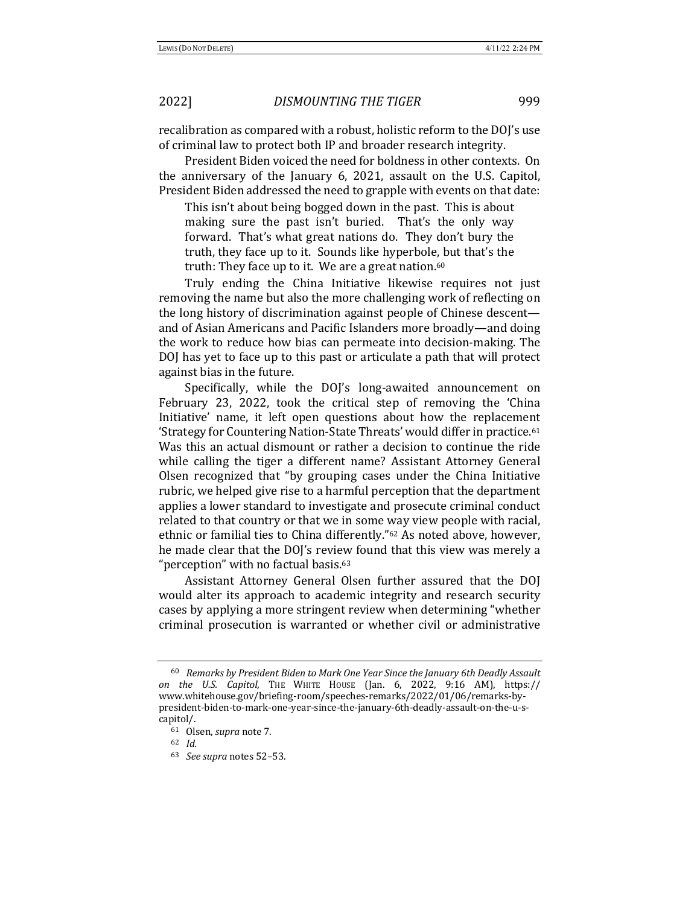recalibration as compared with a robust, holistic reform to the DOJ's use of criminal law to protect both IP and broader research integrity.

President Biden voiced the need for boldness in other contexts. On the anniversary of the January 6, 2021, assault on the U.S. Capitol, President Biden addressed the need to grapple with events on that date:

This isn't about being bogged down in the past. This is about making sure the past isn't buried. That's the only way forward. That's what great nations do. They don't bury the truth, they face up to it. Sounds like hyperbole, but that's the truth: They face up to it. We are a great nation. $60$ 

Truly ending the China Initiative likewise requires not just removing the name but also the more challenging work of reflecting on the long history of discrimination against people of Chinese descent and of Asian Americans and Pacific Islanders more broadly—and doing the work to reduce how bias can permeate into decision-making. The DOJ has yet to face up to this past or articulate a path that will protect against bias in the future.

Specifically, while the DOJ's long-awaited announcement on February 23, 2022, took the critical step of removing the 'China Initiative' name, it left open questions about how the replacement 'Strategy for Countering Nation-State Threats' would differ in practice.<sup>61</sup> Was this an actual dismount or rather a decision to continue the ride while calling the tiger a different name? Assistant Attorney General Olsen recognized that "by grouping cases under the China Initiative rubric, we helped give rise to a harmful perception that the department applies a lower standard to investigate and prosecute criminal conduct related to that country or that we in some way view people with racial, ethnic or familial ties to China differently."<sup>62</sup> As noted above, however, he made clear that the DOJ's review found that this view was merely a "perception" with no factual basis.<sup>63</sup>

Assistant Attorney General Olsen further assured that the DOJ would alter its approach to academic integrity and research security cases by applying a more stringent review when determining "whether criminal prosecution is warranted or whether civil or administrative

<sup>&</sup>lt;sup>60</sup> Remarks by President Biden to Mark One Year Since the January 6th Deadly Assault *on the U.S. Capitol*, THE WHITE HOUSE (Jan. 6, 2022, 9:16 AM), https:// www.whitehouse.gov/briefing-room/speeches-remarks/2022/01/06/remarks-bypresident-biden-to-mark-one-year-since-the-january-6th-deadly-assault-on-the-u-scapitol/.

<sup>&</sup>lt;sup>61</sup> Olsen, *supra* note 7.

<sup>62</sup> *Id.*

<sup>63</sup> *See supra* notes 52–53.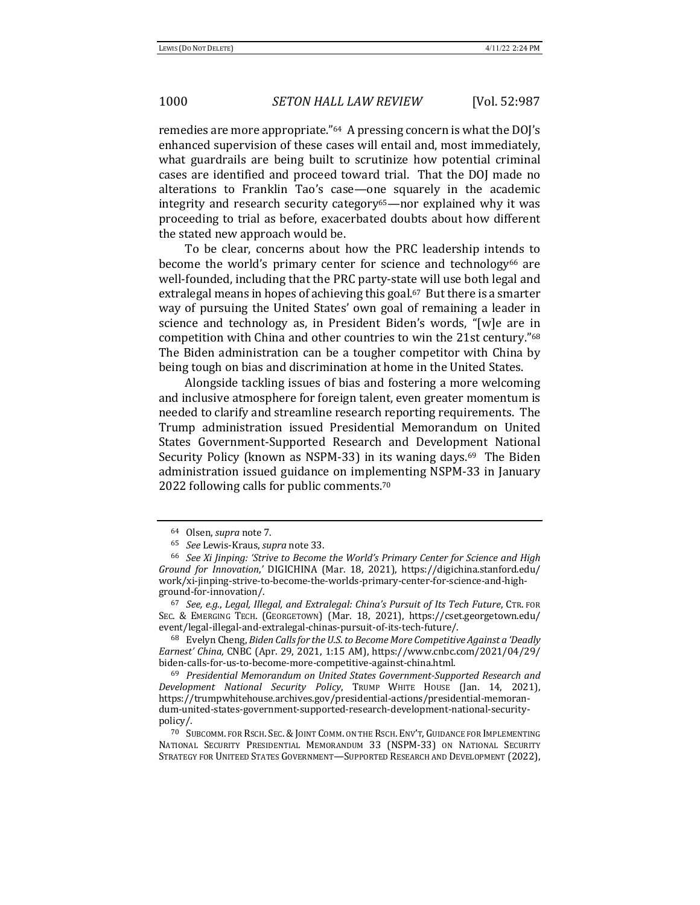remedies are more appropriate."<sup>64</sup> A pressing concern is what the DOJ's enhanced supervision of these cases will entail and, most immediately, what guardrails are being built to scrutinize how potential criminal cases are identified and proceed toward trial. That the DOJ made no alterations to Franklin Tao's case—one squarely in the academic integrity and research security category<sup>65</sup>—nor explained why it was proceeding to trial as before, exacerbated doubts about how different the stated new approach would be.

To be clear, concerns about how the PRC leadership intends to become the world's primary center for science and technology<sup>66</sup> are well-founded, including that the PRC party-state will use both legal and extralegal means in hopes of achieving this goal.<sup>67</sup> But there is a smarter way of pursuing the United States' own goal of remaining a leader in science and technology as, in President Biden's words, "[w]e are in competition with China and other countries to win the 21st century."68 The Biden administration can be a tougher competitor with China by being tough on bias and discrimination at home in the United States.

Alongside tackling issues of bias and fostering a more welcoming and inclusive atmosphere for foreign talent, even greater momentum is needed to clarify and streamline research reporting requirements. The Trump administration issued Presidential Memorandum on United States Government-Supported Research and Development National Security Policy (known as NSPM-33) in its waning days.<sup>69</sup> The Biden administration issued guidance on implementing NSPM-33 in January 2022 following calls for public comments.<sup>70</sup>

<sup>&</sup>lt;sup>64</sup> Olsen, *supra* note 7.

<sup>65</sup> *See* Lewis-Kraus, *supra* note 33.

<sup>&</sup>lt;sup>66</sup> See Xi Jinping: 'Strive to Become the World's Primary Center for Science and High *Ground for Innovation*,<sup>'</sup> DIGICHINA (Mar. 18, 2021), https://digichina.stanford.edu/ work/xi-jinping-strive-to-become-the-worlds-primary-center-for-science-and-highground-for-innovation/. 

<sup>67</sup> *See, e.g., Legal, Illegal, and Extralegal: China's Pursuit of Its Tech Future, CTR. FOR* SEC. & EMERGING TECH. (GEORGETOWN) (Mar. 18, 2021), https://cset.georgetown.edu/ event/legal-illegal-and-extralegal-chinas-pursuit-of-its-tech-future/. 

<sup>68</sup> Evelyn Cheng, *Biden Calls for the U.S. to Become More Competitive Against a 'Deadly Earnest' China,* CNBC (Apr. 29, 2021, 1:15 AM), https://www.cnbc.com/2021/04/29/ biden-calls-for-us-to-become-more-competitive-against-china.html. 

<sup>&</sup>lt;sup>69</sup> Presidential Memorandum on United States Government-Supported Research and *Development National Security Policy*, TRUMP WHITE HOUSE (Jan. 14, 2021), https://trumpwhitehouse.archives.gov/presidential-actions/presidential-memorandum-united-states-government-supported-research-development-national-securitypolicy/. 

<sup>&</sup>lt;sup>70</sup> SUBCOMM. FOR RSCH. SEC. & JOINT COMM. ON THE RSCH. ENV'T, GUIDANCE FOR IMPLEMENTING NATIONAL SECURITY PRESIDENTIAL MEMORANDUM 33 (NSPM-33) ON NATIONAL SECURITY STRATEGY FOR UNITEED STATES GOVERNMENT—SUPPORTED RESEARCH AND DEVELOPMENT (2022),